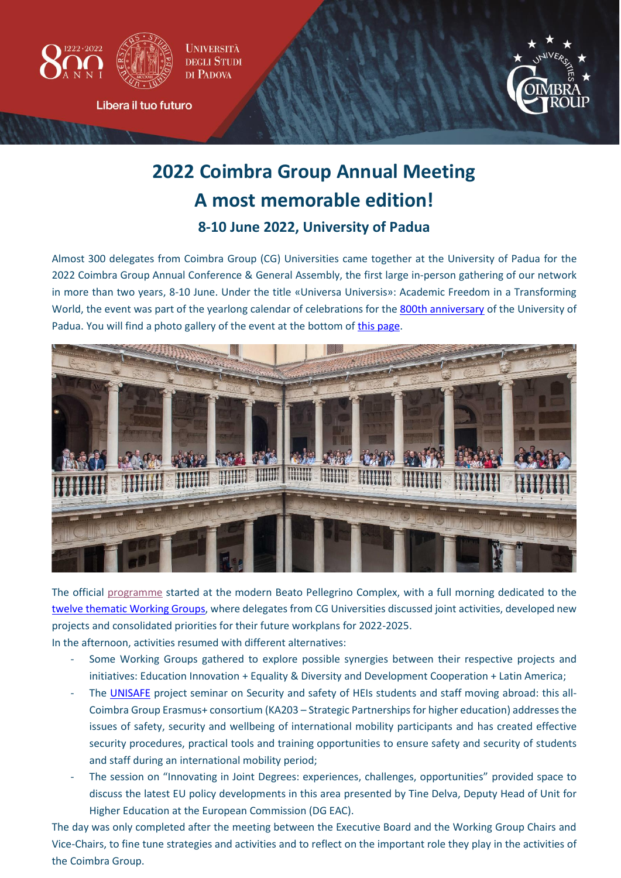



Libera il tuo futuro



# **2022 Coimbra Group Annual Meeting A most memorable edition! 8-10 June 2022, University of Padua**

Almost 300 delegates from Coimbra Group (CG) Universities came together at the University of Padua for the 2022 Coimbra Group Annual Conference & General Assembly, the first large in-person gathering of our network in more than two years, 8-10 June. Under the title «Universa Universis»: Academic Freedom in a Transforming World, the event was part of the yearlong calendar of celebrations for the [800th anniversary](https://800anniunipd.it/en/) of the University of Padua. You will find a photo gallery of the event at the bottom of [this page.](https://www.coimbra-group.eu/2022-coimbra-group-annual-conference/)



The official [programme](https://www.coimbra-group.eu/wp-content/uploads/30052022_-Coimbra-Group-Annual-Conference-Padova-2022-Full-programme-with-information.pdf) started at the modern Beato Pellegrino Complex, with a full morning dedicated to the twelve thematic [Working Groups](https://www.coimbra-group.eu/our-working-groups/), where delegates from CG Universities discussed joint activities, developed new projects and consolidated priorities for their future workplans for 2022-2025.

In the afternoon, activities resumed with different alternatives:

- Some Working Groups gathered to explore possible synergies between their respective projects and initiatives: Education Innovation + Equality & Diversity and Development Cooperation + Latin America;
- The [UNISAFE](https://www.unisafeproject.eu/) project seminar on Security and safety of HEIs students and staff moving abroad: this all-Coimbra Group Erasmus+ consortium (KA203 – Strategic Partnerships for higher education) addressesthe issues of safety, security and wellbeing of international mobility participants and has created effective security procedures, practical tools and training opportunities to ensure safety and security of students and staff during an international mobility period;
- The session on "Innovating in Joint Degrees: experiences, challenges, opportunities" provided space to discuss the latest EU policy developments in this area presented by Tine Delva, Deputy Head of Unit for Higher Education at the European Commission (DG EAC).

The day was only completed after the meeting between the Executive Board and the Working Group Chairs and Vice-Chairs, to fine tune strategies and activities and to reflect on the important role they play in the activities of the Coimbra Group.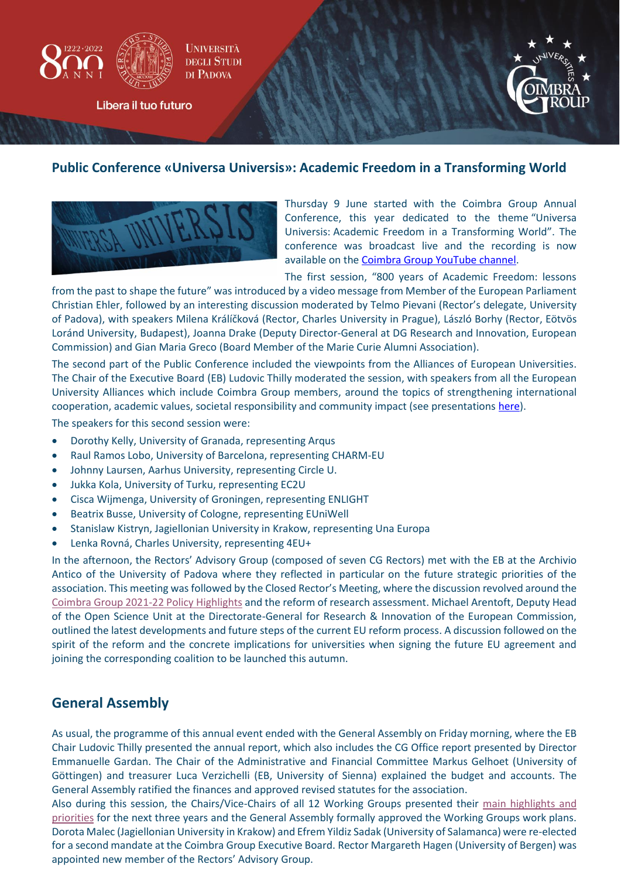

Libera il tuo futuro



#### **Public Conference «Universa Universis»: Academic Freedom in a Transforming World**



Thursday 9 June started with the Coimbra Group Annual Conference, this year dedicated to the theme "Universa Universis: Academic Freedom in a Transforming World". The conference was broadcast live and the recording is now available on th[e Coimbra Group YouTube channel.](https://www.youtube.com/watch?v=Vqj5IuRva50)

The first session, "800 years of Academic Freedom: lessons

from the past to shape the future" was introduced by a video message from Member of the European Parliament Christian Ehler, followed by an interesting discussion moderated by Telmo Pievani (Rector's delegate, University of Padova), with speakers Milena Králíčková (Rector, Charles University in Prague), László Borhy (Rector, Eötvös Loránd University, Budapest), Joanna Drake (Deputy Director-General at DG Research and Innovation, European Commission) and Gian Maria Greco (Board Member of the Marie Curie Alumni Association).

The second part of the Public Conference included the viewpoints from the Alliances of European Universities. The Chair of the Executive Board (EB) Ludovic Thilly moderated the session, with speakers from all the European University Alliances which include Coimbra Group members, around the topics of strengthening international cooperation, academic values, societal responsibility and community impact (see presentation[s here\)](https://www.coimbra-group.eu/wp-content/uploads/Presentation-Public-Conference-2nd-session-June-9th.pdf).

The speakers for this second session were:

- Dorothy Kelly, University of Granada, representing Arqus
- Raul Ramos Lobo, University of Barcelona, representing CHARM-EU
- Johnny Laursen, Aarhus University, representing Circle U.
- Jukka Kola, University of Turku, representing EC2U
- Cisca Wijmenga, University of Groningen, representing ENLIGHT
- Beatrix Busse, University of Cologne, representing EUniWell
- Stanislaw Kistryn, Jagiellonian University in Krakow, representing Una Europa
- Lenka Rovná, Charles University, representing 4EU+

In the afternoon, the Rectors' Advisory Group (composed of seven CG Rectors) met with the EB at the Archivio Antico of the University of Padova where they reflected in particular on the future strategic priorities of the association. This meeting was followed by the Closed Rector's Meeting, where the discussion revolved around the [Coimbra Group 2021-22 Policy Highlights](https://www.coimbra-group.eu/wp-content/uploads/2021-2022-CG-Policy-Highlights.pdf) and the reform of research assessment. Michael Arentoft, Deputy Head of the Open Science Unit at the Directorate-General for Research & Innovation of the European Commission, outlined the latest developments and future steps of the current EU reform process. A discussion followed on the spirit of the reform and the concrete implications for universities when signing the future EU agreement and joining the corresponding coalition to be launched this autumn.

### **General Assembly**

As usual, the programme of this annual event ended with the General Assembly on Friday morning, where the EB Chair Ludovic Thilly presented the annual report, which also includes the CG Office report presented by Director Emmanuelle Gardan. The Chair of the Administrative and Financial Committee Markus Gelhoet (University of Göttingen) and treasurer Luca Verzichelli (EB, University of Sienna) explained the budget and accounts. The General Assembly ratified the finances and approved revised statutes for the association.

Also during this session, the Chairs/Vice-Chairs of all 12 Working Groups presented their [main highlights and](https://www.coimbra-group.eu/wp-content/uploads/GA_WG-Highlights-PADOVA_2022.pdf)  [priorities](https://www.coimbra-group.eu/wp-content/uploads/GA_WG-Highlights-PADOVA_2022.pdf) for the next three years and the General Assembly formally approved the Working Groups work plans. Dorota Malec (Jagiellonian University in Krakow) and Efrem Yildiz Sadak (University of Salamanca) were re-elected for a second mandate at the Coimbra Group Executive Board. Rector Margareth Hagen (University of Bergen) was appointed new member of the Rectors' Advisory Group.